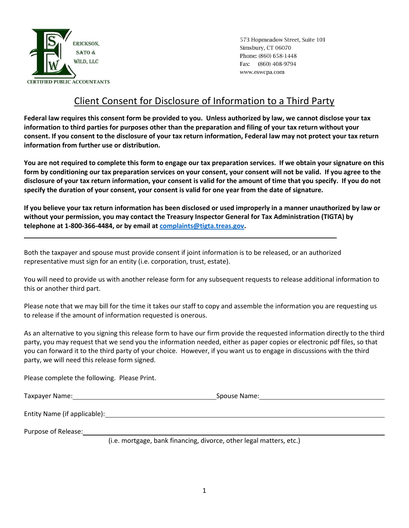

573 Hopmeadow Street, Suite 101 Simsbury, CT 06070 Phone: (860) 658-1448 Fax: (860) 408-9794 www.eswcpa.com

## Client Consent for Disclosure of Information to a Third Party

**Federal law requires this consent form be provided to you. Unless authorized by law, we cannot disclose your tax information to third parties for purposes other than the preparation and filing of your tax return without your consent. If you consent to the disclosure of your tax return information, Federal law may not protect your tax return information from further use or distribution.** 

**You are not required to complete this form to engage our tax preparation services. If we obtain your signature on this form by conditioning our tax preparation services on your consent, your consent will not be valid. If you agree to the disclosure of your tax return information, your consent is valid for the amount of time that you specify. If you do not specify the duration of your consent, your consent is valid for one year from the date of signature.**

**If you believe your tax return information has been disclosed or used improperly in a manner unauthorized by law or without your permission, you may contact the Treasury Inspector General for Tax Administration (TIGTA) by telephone at 1-800-366-4484, or by email at [complaints@tigta.treas.gov.](mailto:complaints@tigta.treas.gov)**

Both the taxpayer and spouse must provide consent if joint information is to be released, or an authorized representative must sign for an entity (i.e. corporation, trust, estate).

You will need to provide us with another release form for any subsequent requests to release additional information to this or another third part.

Please note that we may bill for the time it takes our staff to copy and assemble the information you are requesting us to release if the amount of information requested is onerous.

As an alternative to you signing this release form to have our firm provide the requested information directly to the third party, you may request that we send you the information needed, either as paper copies or electronic pdf files, so that you can forward it to the third party of your choice. However, if you want us to engage in discussions with the third party, we will need this release form signed.

Please complete the following. Please Print.

Taxpayer Name: Spouse Name: Spouse Name: Spouse Name: Spouse Name: Spouse Name: Spouse Name: Spouse Name: Spou

Entity Name (if applicable):

Purpose of Release:

(i.e. mortgage, bank financing, divorce, other legal matters, etc.)